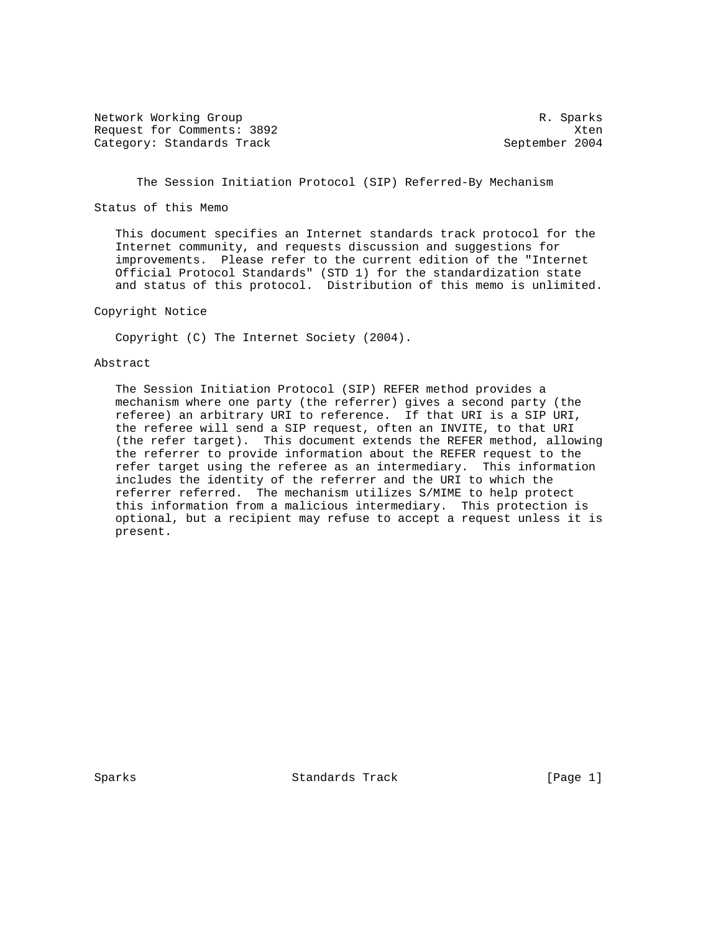Network Working Group and the set of the set of the set of the R. Sparks Request for Comments: 3892 Xten Category: Standards Track September 2004

The Session Initiation Protocol (SIP) Referred-By Mechanism

Status of this Memo

 This document specifies an Internet standards track protocol for the Internet community, and requests discussion and suggestions for improvements. Please refer to the current edition of the "Internet Official Protocol Standards" (STD 1) for the standardization state and status of this protocol. Distribution of this memo is unlimited.

Copyright Notice

Copyright (C) The Internet Society (2004).

### Abstract

 The Session Initiation Protocol (SIP) REFER method provides a mechanism where one party (the referrer) gives a second party (the referee) an arbitrary URI to reference. If that URI is a SIP URI, the referee will send a SIP request, often an INVITE, to that URI (the refer target). This document extends the REFER method, allowing the referrer to provide information about the REFER request to the refer target using the referee as an intermediary. This information includes the identity of the referrer and the URI to which the referrer referred. The mechanism utilizes S/MIME to help protect this information from a malicious intermediary. This protection is optional, but a recipient may refuse to accept a request unless it is present.

Sparks Standards Track [Page 1]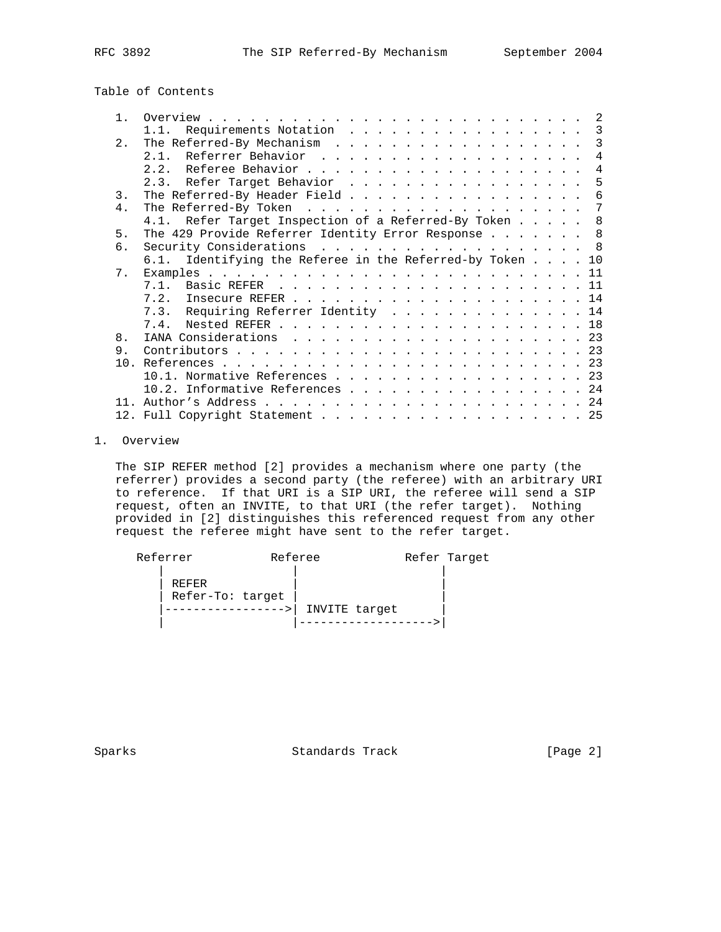| $\mathbf{1}$   |                                                          |  | -2 |
|----------------|----------------------------------------------------------|--|----|
|                | Requirements Notation<br>1.1.                            |  | 3  |
| 2.             |                                                          |  | 3  |
|                |                                                          |  | 4  |
|                |                                                          |  | 4  |
|                | 2.3. Refer Target Behavior                               |  | 5  |
| 3.             | The Referred-By Header Field                             |  | 6  |
| 4 <sup>1</sup> |                                                          |  | 7  |
|                | 4.1. Refer Target Inspection of a Referred-By Token      |  | 8  |
| 5.             | The 429 Provide Referrer Identity Error Response 8       |  |    |
| б.             | Security Considerations 8                                |  |    |
|                | 6.1. Identifying the Referee in the Referred-by Token 10 |  |    |
| 7.             |                                                          |  |    |
|                |                                                          |  |    |
|                |                                                          |  |    |
|                | 7.3. Requiring Referrer Identity 14                      |  |    |
|                |                                                          |  |    |
| 8 <sub>1</sub> |                                                          |  |    |
| 9.             |                                                          |  |    |
|                |                                                          |  |    |
|                | 10.1. Normative References 23                            |  |    |
|                | $10.2.$ Informative References 24                        |  |    |
|                |                                                          |  |    |
|                |                                                          |  |    |

## 1. Overview

 The SIP REFER method [2] provides a mechanism where one party (the referrer) provides a second party (the referee) with an arbitrary URI to reference. If that URI is a SIP URI, the referee will send a SIP request, often an INVITE, to that URI (the refer target). Nothing provided in [2] distinguishes this referenced request from any other request the referee might have sent to the refer target.

| Referrer                  | Referee |               | Refer Target |
|---------------------------|---------|---------------|--------------|
| REFER<br>Refer-To: target |         | INVITE target |              |
|                           |         |               |              |

Sparks Standards Track [Page 2]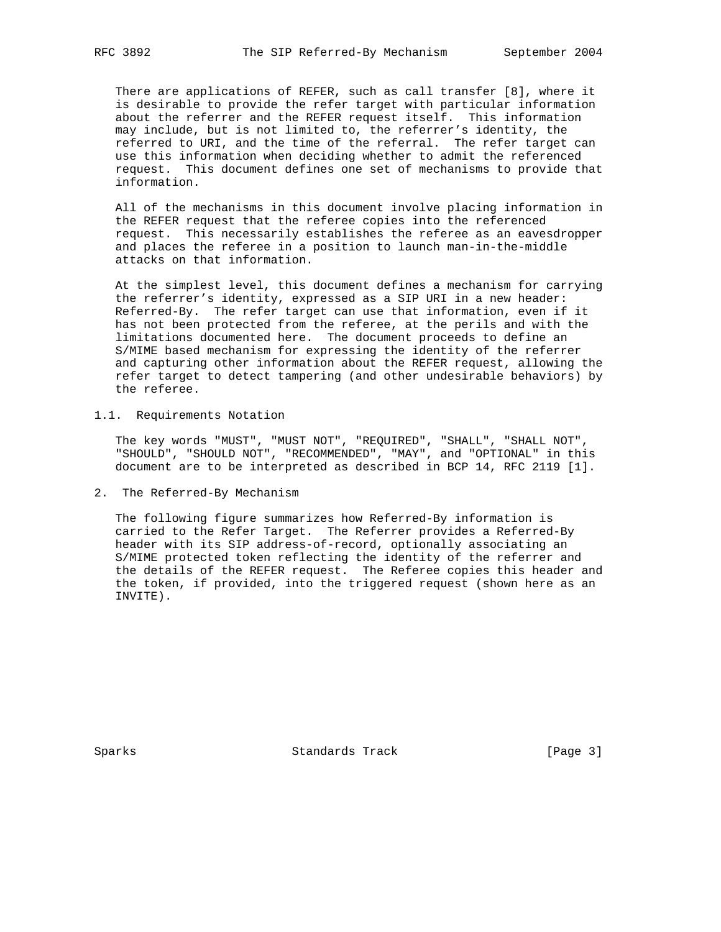There are applications of REFER, such as call transfer [8], where it is desirable to provide the refer target with particular information about the referrer and the REFER request itself. This information may include, but is not limited to, the referrer's identity, the referred to URI, and the time of the referral. The refer target can use this information when deciding whether to admit the referenced request. This document defines one set of mechanisms to provide that information.

 All of the mechanisms in this document involve placing information in the REFER request that the referee copies into the referenced request. This necessarily establishes the referee as an eavesdropper and places the referee in a position to launch man-in-the-middle attacks on that information.

 At the simplest level, this document defines a mechanism for carrying the referrer's identity, expressed as a SIP URI in a new header: Referred-By. The refer target can use that information, even if it has not been protected from the referee, at the perils and with the limitations documented here. The document proceeds to define an S/MIME based mechanism for expressing the identity of the referrer and capturing other information about the REFER request, allowing the refer target to detect tampering (and other undesirable behaviors) by the referee.

1.1. Requirements Notation

 The key words "MUST", "MUST NOT", "REQUIRED", "SHALL", "SHALL NOT", "SHOULD", "SHOULD NOT", "RECOMMENDED", "MAY", and "OPTIONAL" in this document are to be interpreted as described in BCP 14, RFC 2119 [1].

2. The Referred-By Mechanism

 The following figure summarizes how Referred-By information is carried to the Refer Target. The Referrer provides a Referred-By header with its SIP address-of-record, optionally associating an S/MIME protected token reflecting the identity of the referrer and the details of the REFER request. The Referee copies this header and the token, if provided, into the triggered request (shown here as an INVITE).

Sparks Standards Track [Page 3]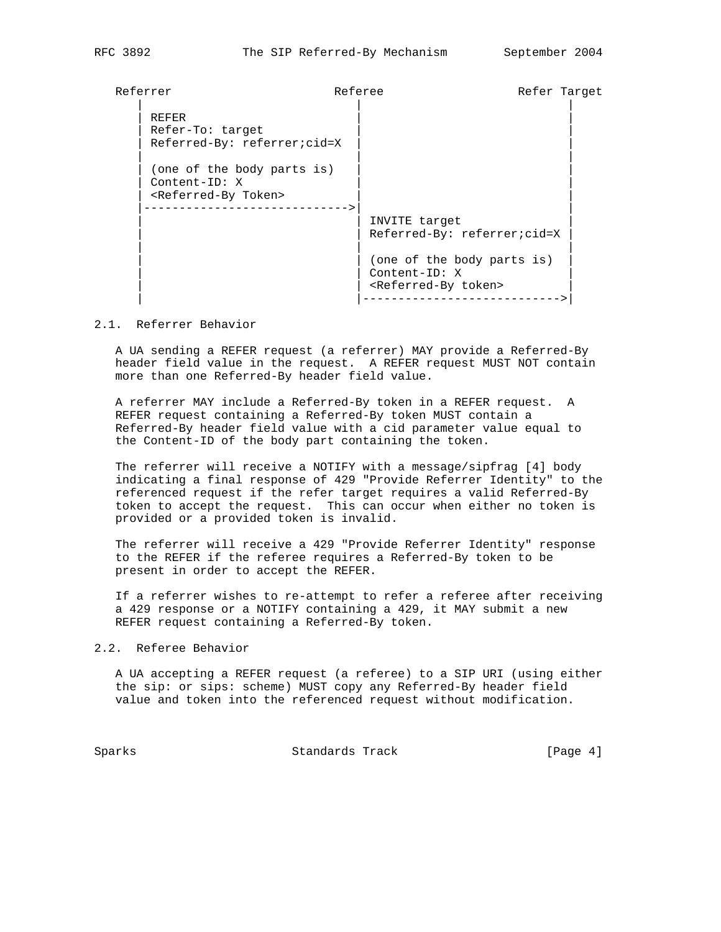| Referrer |                                                                                     | Referee                                               |                                                           | Refer Target |
|----------|-------------------------------------------------------------------------------------|-------------------------------------------------------|-----------------------------------------------------------|--------------|
|          | REFER<br>Refer-To: target<br>Referred-By: referrer;cid=X                            |                                                       |                                                           |              |
|          | (one of the body parts is)<br>Content-ID: X<br><referred-by token=""></referred-by> | INVITE target                                         |                                                           |              |
|          |                                                                                     | Content-ID: X<br><referred-by token=""></referred-by> | Referred-By: referrer;cid=X<br>(one of the body parts is) |              |

#### 2.1. Referrer Behavior

 A UA sending a REFER request (a referrer) MAY provide a Referred-By header field value in the request. A REFER request MUST NOT contain more than one Referred-By header field value.

 A referrer MAY include a Referred-By token in a REFER request. A REFER request containing a Referred-By token MUST contain a Referred-By header field value with a cid parameter value equal to the Content-ID of the body part containing the token.

 The referrer will receive a NOTIFY with a message/sipfrag [4] body indicating a final response of 429 "Provide Referrer Identity" to the referenced request if the refer target requires a valid Referred-By token to accept the request. This can occur when either no token is provided or a provided token is invalid.

 The referrer will receive a 429 "Provide Referrer Identity" response to the REFER if the referee requires a Referred-By token to be present in order to accept the REFER.

 If a referrer wishes to re-attempt to refer a referee after receiving a 429 response or a NOTIFY containing a 429, it MAY submit a new REFER request containing a Referred-By token.

### 2.2. Referee Behavior

 A UA accepting a REFER request (a referee) to a SIP URI (using either the sip: or sips: scheme) MUST copy any Referred-By header field value and token into the referenced request without modification.

Sparks Standards Track [Page 4]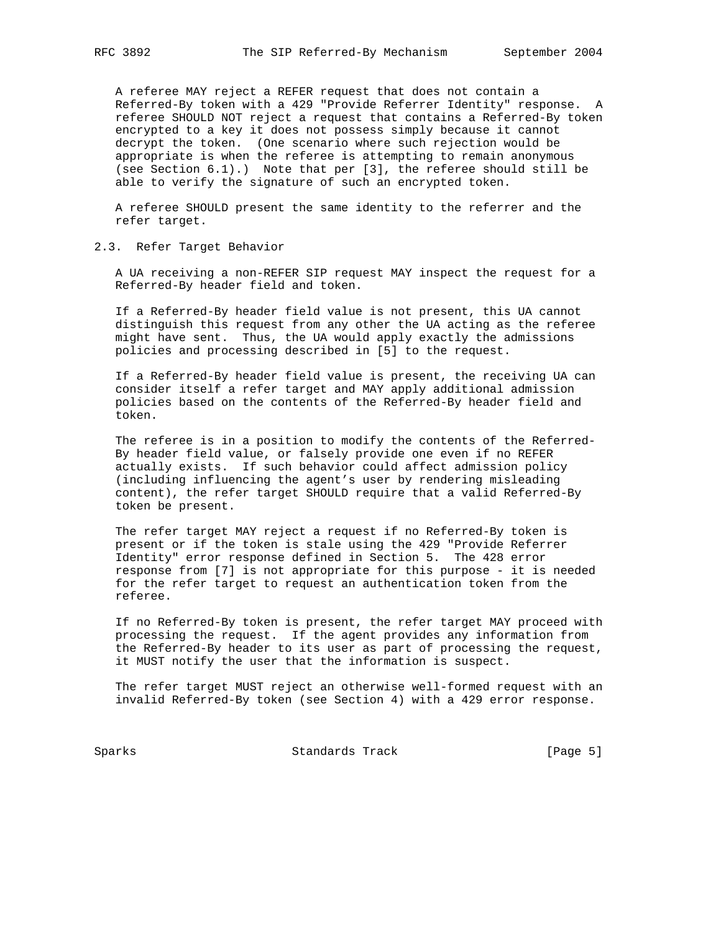A referee MAY reject a REFER request that does not contain a Referred-By token with a 429 "Provide Referrer Identity" response. A referee SHOULD NOT reject a request that contains a Referred-By token encrypted to a key it does not possess simply because it cannot decrypt the token. (One scenario where such rejection would be appropriate is when the referee is attempting to remain anonymous (see Section 6.1).) Note that per [3], the referee should still be able to verify the signature of such an encrypted token.

 A referee SHOULD present the same identity to the referrer and the refer target.

## 2.3. Refer Target Behavior

 A UA receiving a non-REFER SIP request MAY inspect the request for a Referred-By header field and token.

 If a Referred-By header field value is not present, this UA cannot distinguish this request from any other the UA acting as the referee might have sent. Thus, the UA would apply exactly the admissions policies and processing described in [5] to the request.

 If a Referred-By header field value is present, the receiving UA can consider itself a refer target and MAY apply additional admission policies based on the contents of the Referred-By header field and token.

 The referee is in a position to modify the contents of the Referred- By header field value, or falsely provide one even if no REFER actually exists. If such behavior could affect admission policy (including influencing the agent's user by rendering misleading content), the refer target SHOULD require that a valid Referred-By token be present.

 The refer target MAY reject a request if no Referred-By token is present or if the token is stale using the 429 "Provide Referrer Identity" error response defined in Section 5. The 428 error response from [7] is not appropriate for this purpose - it is needed for the refer target to request an authentication token from the referee.

 If no Referred-By token is present, the refer target MAY proceed with processing the request. If the agent provides any information from the Referred-By header to its user as part of processing the request, it MUST notify the user that the information is suspect.

 The refer target MUST reject an otherwise well-formed request with an invalid Referred-By token (see Section 4) with a 429 error response.

Sparks Standards Track [Page 5]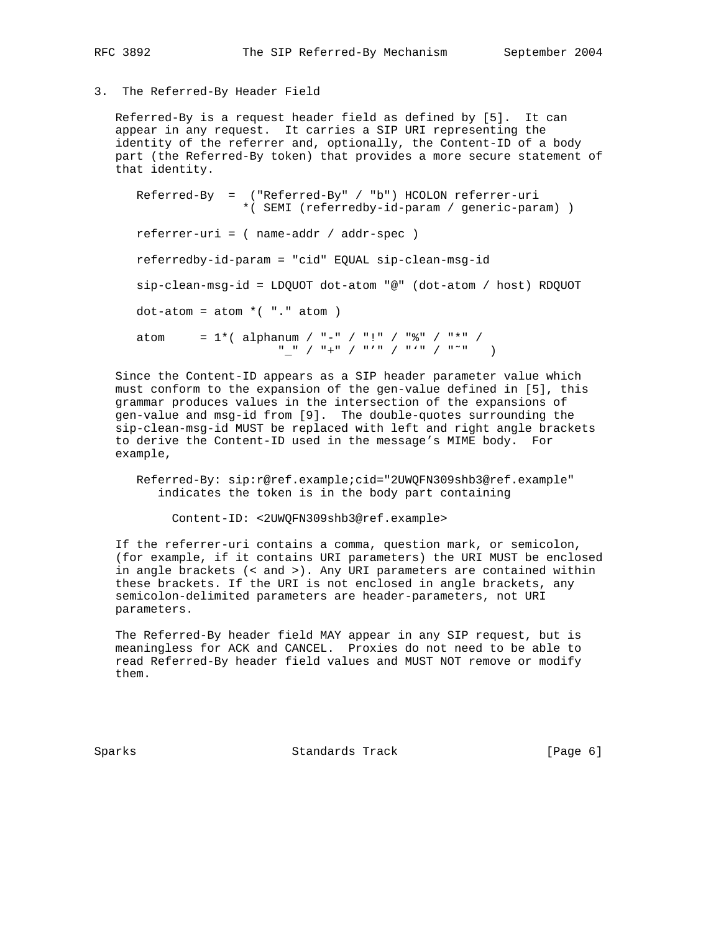# 3. The Referred-By Header Field

 Referred-By is a request header field as defined by [5]. It can appear in any request. It carries a SIP URI representing the identity of the referrer and, optionally, the Content-ID of a body part (the Referred-By token) that provides a more secure statement of that identity.

 Referred-By = ("Referred-By" / "b") HCOLON referrer-uri \*( SEMI (referredby-id-param / generic-param) ) referrer-uri = ( name-addr / addr-spec ) referredby-id-param = "cid" EQUAL sip-clean-msg-id sip-clean-msg-id = LDQUOT dot-atom "@" (dot-atom / host) RDQUOT  $dot-atom = atom * ( "." atom )$ atom =  $1*($  alphanum / "-" / "!" / " $*$ " / "\*" / "\_" / "+" / "'" / "'" / "˜" )

 Since the Content-ID appears as a SIP header parameter value which must conform to the expansion of the gen-value defined in [5], this grammar produces values in the intersection of the expansions of gen-value and msg-id from [9]. The double-quotes surrounding the sip-clean-msg-id MUST be replaced with left and right angle brackets to derive the Content-ID used in the message's MIME body. For example,

 Referred-By: sip:r@ref.example;cid="2UWQFN309shb3@ref.example" indicates the token is in the body part containing

Content-ID: <2UWQFN309shb3@ref.example>

 If the referrer-uri contains a comma, question mark, or semicolon, (for example, if it contains URI parameters) the URI MUST be enclosed in angle brackets (< and >). Any URI parameters are contained within these brackets. If the URI is not enclosed in angle brackets, any semicolon-delimited parameters are header-parameters, not URI parameters.

 The Referred-By header field MAY appear in any SIP request, but is meaningless for ACK and CANCEL. Proxies do not need to be able to read Referred-By header field values and MUST NOT remove or modify them.

Sparks Standards Track [Page 6]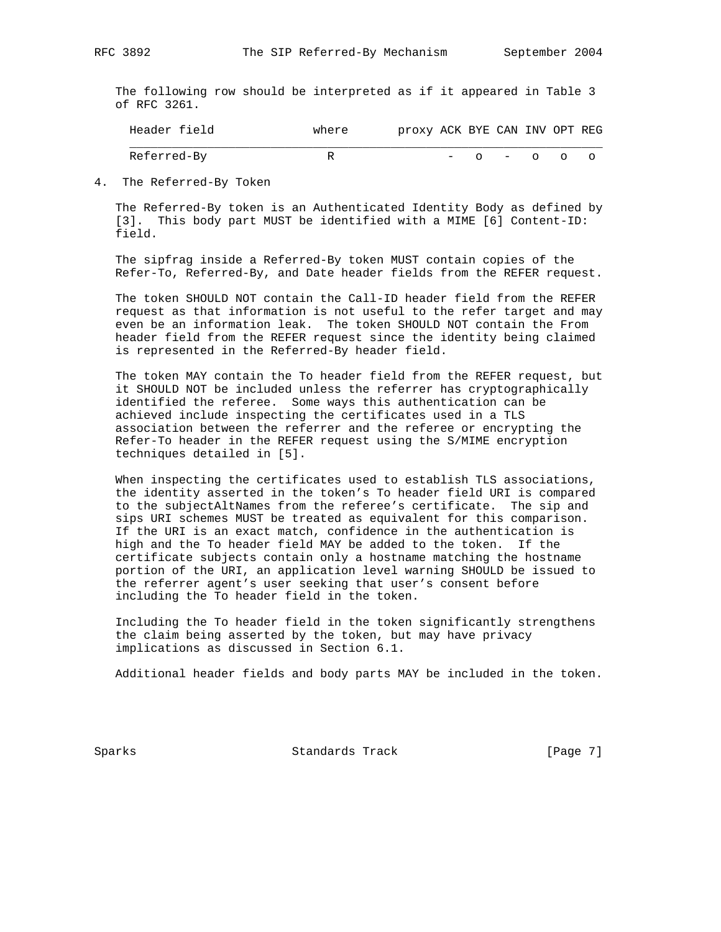The following row should be interpreted as if it appeared in Table 3 of RFC 3261.

| $\overline{\phantom{0}}$ |          | REG<br>$\bot$ NV<br>CAN<br>JPT.<br>proxy<br>ACK<br>RYE:   |
|--------------------------|----------|-----------------------------------------------------------|
|                          | ÷<br>. . | $\circ$ - $\circ$<br>$\overline{\phantom{0}}$<br>$\Omega$ |

4. The Referred-By Token

 The Referred-By token is an Authenticated Identity Body as defined by [3]. This body part MUST be identified with a MIME [6] Content-ID: field.

 The sipfrag inside a Referred-By token MUST contain copies of the Refer-To, Referred-By, and Date header fields from the REFER request.

 The token SHOULD NOT contain the Call-ID header field from the REFER request as that information is not useful to the refer target and may even be an information leak. The token SHOULD NOT contain the From header field from the REFER request since the identity being claimed is represented in the Referred-By header field.

 The token MAY contain the To header field from the REFER request, but it SHOULD NOT be included unless the referrer has cryptographically identified the referee. Some ways this authentication can be achieved include inspecting the certificates used in a TLS association between the referrer and the referee or encrypting the Refer-To header in the REFER request using the S/MIME encryption techniques detailed in [5].

 When inspecting the certificates used to establish TLS associations, the identity asserted in the token's To header field URI is compared to the subjectAltNames from the referee's certificate. The sip and sips URI schemes MUST be treated as equivalent for this comparison. If the URI is an exact match, confidence in the authentication is high and the To header field MAY be added to the token. If the certificate subjects contain only a hostname matching the hostname portion of the URI, an application level warning SHOULD be issued to the referrer agent's user seeking that user's consent before including the To header field in the token.

 Including the To header field in the token significantly strengthens the claim being asserted by the token, but may have privacy implications as discussed in Section 6.1.

Additional header fields and body parts MAY be included in the token.

Sparks Standards Track [Page 7]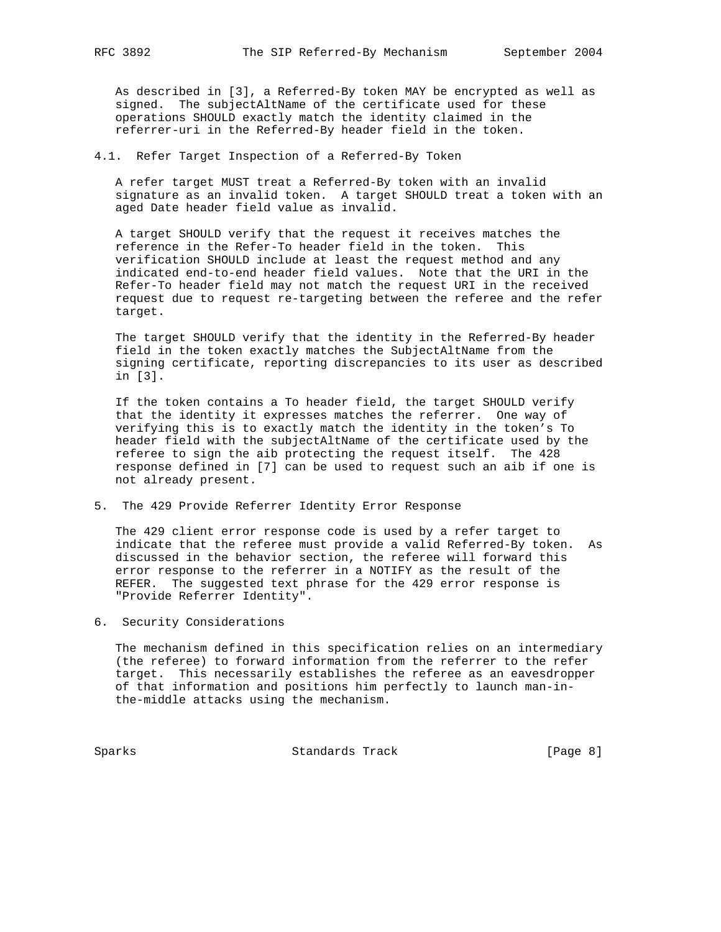As described in [3], a Referred-By token MAY be encrypted as well as signed. The subjectAltName of the certificate used for these operations SHOULD exactly match the identity claimed in the referrer-uri in the Referred-By header field in the token.

4.1. Refer Target Inspection of a Referred-By Token

 A refer target MUST treat a Referred-By token with an invalid signature as an invalid token. A target SHOULD treat a token with an aged Date header field value as invalid.

 A target SHOULD verify that the request it receives matches the reference in the Refer-To header field in the token. This verification SHOULD include at least the request method and any indicated end-to-end header field values. Note that the URI in the Refer-To header field may not match the request URI in the received request due to request re-targeting between the referee and the refer target.

 The target SHOULD verify that the identity in the Referred-By header field in the token exactly matches the SubjectAltName from the signing certificate, reporting discrepancies to its user as described in [3].

 If the token contains a To header field, the target SHOULD verify that the identity it expresses matches the referrer. One way of verifying this is to exactly match the identity in the token's To header field with the subjectAltName of the certificate used by the referee to sign the aib protecting the request itself. The 428 response defined in [7] can be used to request such an aib if one is not already present.

5. The 429 Provide Referrer Identity Error Response

 The 429 client error response code is used by a refer target to indicate that the referee must provide a valid Referred-By token. As discussed in the behavior section, the referee will forward this error response to the referrer in a NOTIFY as the result of the REFER. The suggested text phrase for the 429 error response is "Provide Referrer Identity".

6. Security Considerations

 The mechanism defined in this specification relies on an intermediary (the referee) to forward information from the referrer to the refer target. This necessarily establishes the referee as an eavesdropper of that information and positions him perfectly to launch man-in the-middle attacks using the mechanism.

Sparks Standards Track [Page 8]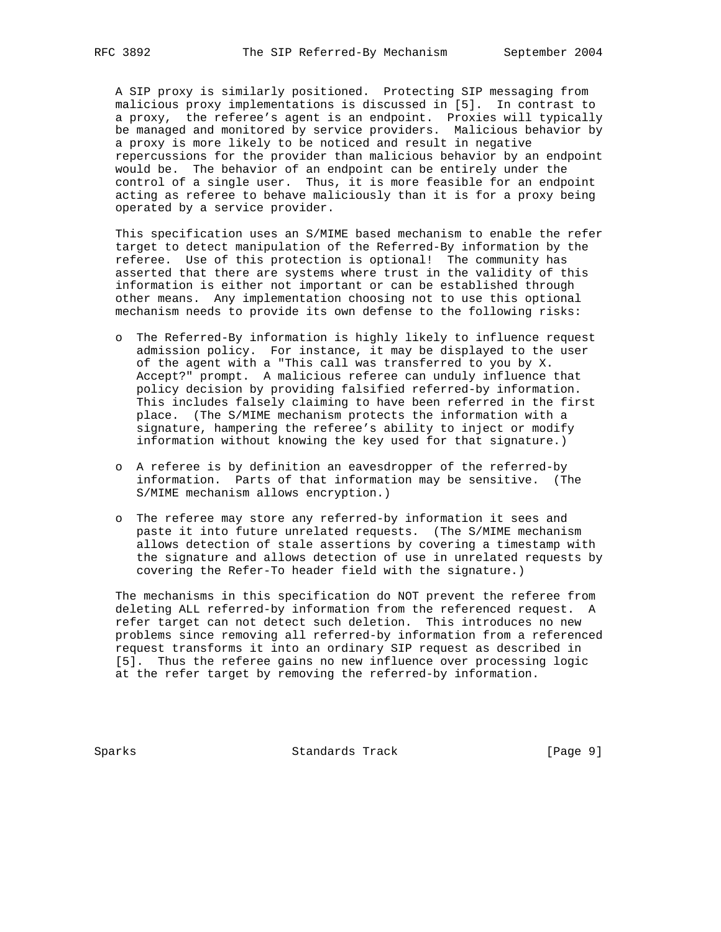A SIP proxy is similarly positioned. Protecting SIP messaging from malicious proxy implementations is discussed in [5]. In contrast to a proxy, the referee's agent is an endpoint. Proxies will typically be managed and monitored by service providers. Malicious behavior by a proxy is more likely to be noticed and result in negative repercussions for the provider than malicious behavior by an endpoint would be. The behavior of an endpoint can be entirely under the control of a single user. Thus, it is more feasible for an endpoint acting as referee to behave maliciously than it is for a proxy being operated by a service provider.

 This specification uses an S/MIME based mechanism to enable the refer target to detect manipulation of the Referred-By information by the referee. Use of this protection is optional! The community has asserted that there are systems where trust in the validity of this information is either not important or can be established through other means. Any implementation choosing not to use this optional mechanism needs to provide its own defense to the following risks:

- o The Referred-By information is highly likely to influence request admission policy. For instance, it may be displayed to the user of the agent with a "This call was transferred to you by X. Accept?" prompt. A malicious referee can unduly influence that policy decision by providing falsified referred-by information. This includes falsely claiming to have been referred in the first place. (The S/MIME mechanism protects the information with a signature, hampering the referee's ability to inject or modify information without knowing the key used for that signature.)
- o A referee is by definition an eavesdropper of the referred-by information. Parts of that information may be sensitive. (The S/MIME mechanism allows encryption.)
- o The referee may store any referred-by information it sees and paste it into future unrelated requests. (The S/MIME mechanism allows detection of stale assertions by covering a timestamp with the signature and allows detection of use in unrelated requests by covering the Refer-To header field with the signature.)

 The mechanisms in this specification do NOT prevent the referee from deleting ALL referred-by information from the referenced request. A refer target can not detect such deletion. This introduces no new problems since removing all referred-by information from a referenced request transforms it into an ordinary SIP request as described in [5]. Thus the referee gains no new influence over processing logic at the refer target by removing the referred-by information.

Sparks Standards Track [Page 9]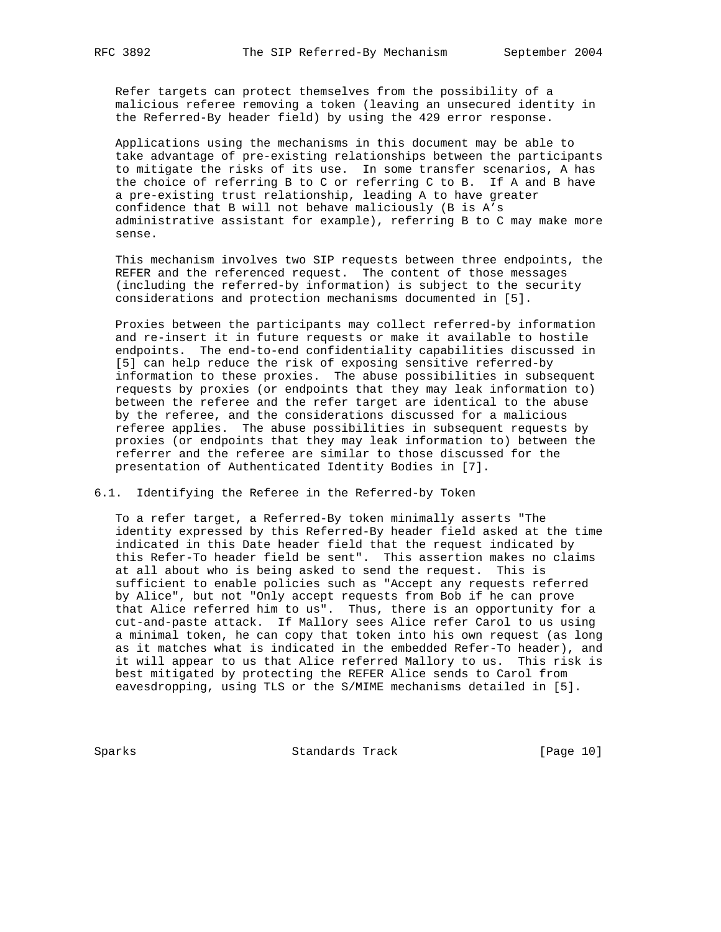Refer targets can protect themselves from the possibility of a malicious referee removing a token (leaving an unsecured identity in the Referred-By header field) by using the 429 error response.

 Applications using the mechanisms in this document may be able to take advantage of pre-existing relationships between the participants to mitigate the risks of its use. In some transfer scenarios, A has the choice of referring B to C or referring C to B. If A and B have a pre-existing trust relationship, leading A to have greater confidence that B will not behave maliciously (B is A's administrative assistant for example), referring B to C may make more sense.

 This mechanism involves two SIP requests between three endpoints, the REFER and the referenced request. The content of those messages (including the referred-by information) is subject to the security considerations and protection mechanisms documented in [5].

 Proxies between the participants may collect referred-by information and re-insert it in future requests or make it available to hostile endpoints. The end-to-end confidentiality capabilities discussed in [5] can help reduce the risk of exposing sensitive referred-by information to these proxies. The abuse possibilities in subsequent requests by proxies (or endpoints that they may leak information to) between the referee and the refer target are identical to the abuse by the referee, and the considerations discussed for a malicious referee applies. The abuse possibilities in subsequent requests by proxies (or endpoints that they may leak information to) between the referrer and the referee are similar to those discussed for the presentation of Authenticated Identity Bodies in [7].

6.1. Identifying the Referee in the Referred-by Token

 To a refer target, a Referred-By token minimally asserts "The identity expressed by this Referred-By header field asked at the time indicated in this Date header field that the request indicated by this Refer-To header field be sent". This assertion makes no claims at all about who is being asked to send the request. This is sufficient to enable policies such as "Accept any requests referred by Alice", but not "Only accept requests from Bob if he can prove that Alice referred him to us". Thus, there is an opportunity for a cut-and-paste attack. If Mallory sees Alice refer Carol to us using a minimal token, he can copy that token into his own request (as long as it matches what is indicated in the embedded Refer-To header), and it will appear to us that Alice referred Mallory to us. This risk is best mitigated by protecting the REFER Alice sends to Carol from eavesdropping, using TLS or the S/MIME mechanisms detailed in [5].

Sparks Standards Track [Page 10]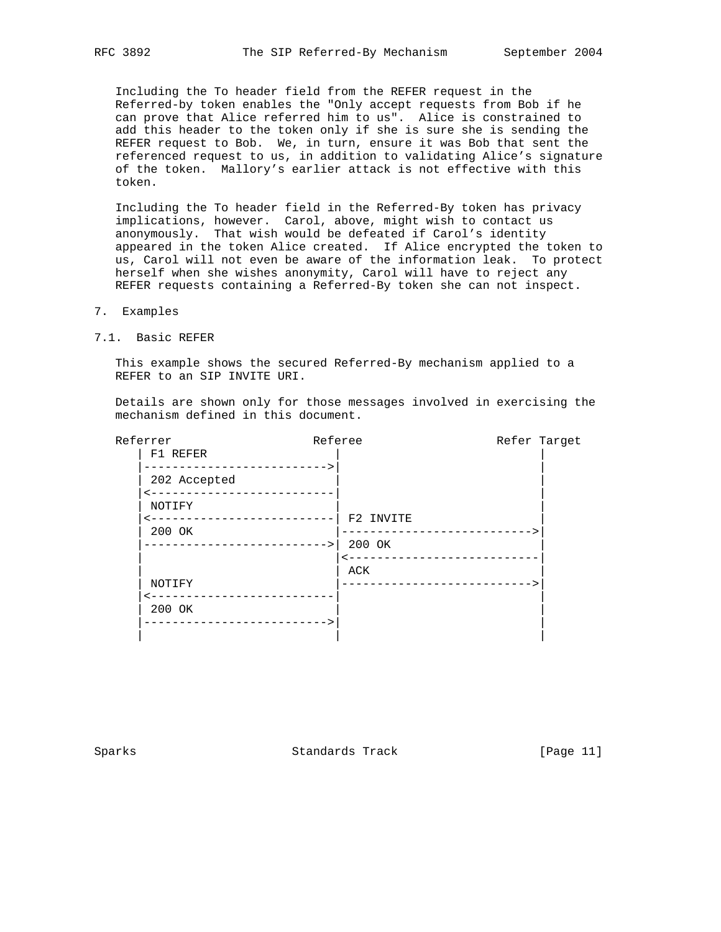Including the To header field from the REFER request in the Referred-by token enables the "Only accept requests from Bob if he can prove that Alice referred him to us". Alice is constrained to add this header to the token only if she is sure she is sending the REFER request to Bob. We, in turn, ensure it was Bob that sent the referenced request to us, in addition to validating Alice's signature of the token. Mallory's earlier attack is not effective with this token.

 Including the To header field in the Referred-By token has privacy implications, however. Carol, above, might wish to contact us anonymously. That wish would be defeated if Carol's identity appeared in the token Alice created. If Alice encrypted the token to us, Carol will not even be aware of the information leak. To protect herself when she wishes anonymity, Carol will have to reject any REFER requests containing a Referred-By token she can not inspect.

- 7. Examples
- 7.1. Basic REFER

 This example shows the secured Referred-By mechanism applied to a REFER to an SIP INVITE URI.

 Details are shown only for those messages involved in exercising the mechanism defined in this document.

| Referrer     | Referee     | Refer Target |
|--------------|-------------|--------------|
| F1 REFER     |             |              |
| 202 Accepted | $-----&>$   |              |
| NOTIFY       |             |              |
|              | F2 INVITE   |              |
| 200 OK       |             |              |
|              | 200 OK      |              |
|              |             |              |
|              | ACK         |              |
| NOTIFY       |             |              |
| 200 OK       |             |              |
|              | $-------->$ |              |
|              |             |              |

Sparks Standards Track [Page 11]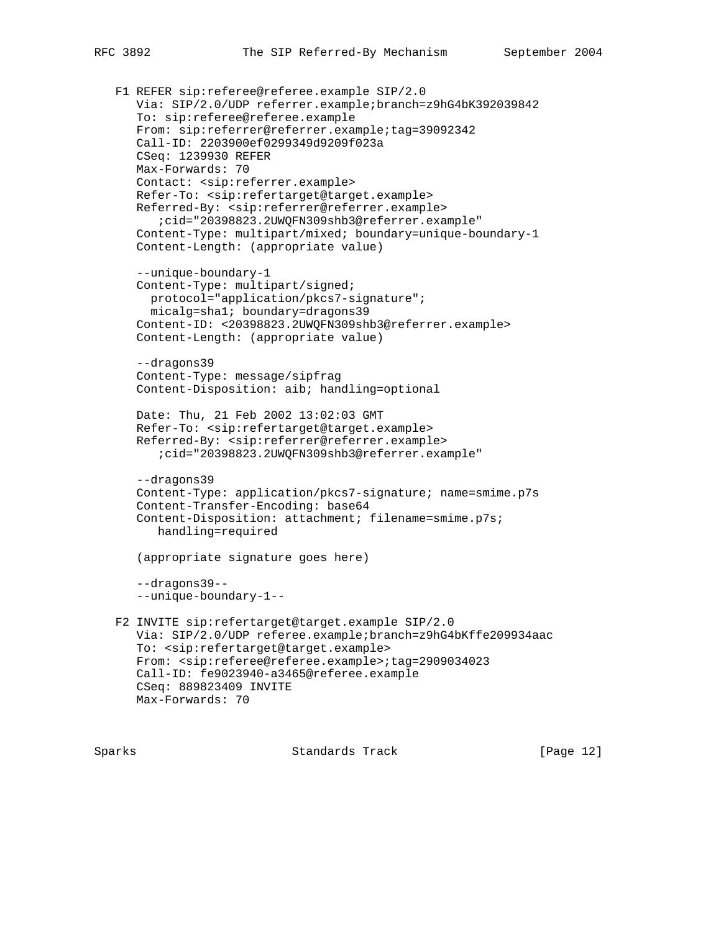```
 F1 REFER sip:referee@referee.example SIP/2.0
    Via: SIP/2.0/UDP referrer.example;branch=z9hG4bK392039842
    To: sip:referee@referee.example
    From: sip:referrer@referrer.example;tag=39092342
    Call-ID: 2203900ef0299349d9209f023a
    CSeq: 1239930 REFER
   Max-Forwards: 70
    Contact: <sip:referrer.example>
    Refer-To: <sip:refertarget@target.example>
    Referred-By: <sip:referrer@referrer.example>
       ;cid="20398823.2UWQFN309shb3@referrer.example"
    Content-Type: multipart/mixed; boundary=unique-boundary-1
    Content-Length: (appropriate value)
    --unique-boundary-1
    Content-Type: multipart/signed;
     protocol="application/pkcs7-signature";
     micalg=sha1; boundary=dragons39
    Content-ID: <20398823.2UWQFN309shb3@referrer.example>
    Content-Length: (appropriate value)
    --dragons39
    Content-Type: message/sipfrag
    Content-Disposition: aib; handling=optional
    Date: Thu, 21 Feb 2002 13:02:03 GMT
    Refer-To: <sip:refertarget@target.example>
    Referred-By: <sip:referrer@referrer.example>
       ;cid="20398823.2UWQFN309shb3@referrer.example"
    --dragons39
    Content-Type: application/pkcs7-signature; name=smime.p7s
    Content-Transfer-Encoding: base64
    Content-Disposition: attachment; filename=smime.p7s;
       handling=required
    (appropriate signature goes here)
    --dragons39--
    --unique-boundary-1--
 F2 INVITE sip:refertarget@target.example SIP/2.0
    Via: SIP/2.0/UDP referee.example;branch=z9hG4bKffe209934aac
    To: <sip:refertarget@target.example>
    From: <sip:referee@referee.example>;tag=2909034023
    Call-ID: fe9023940-a3465@referee.example
    CSeq: 889823409 INVITE
   Max-Forwards: 70
```
Sparks Standards Track [Page 12]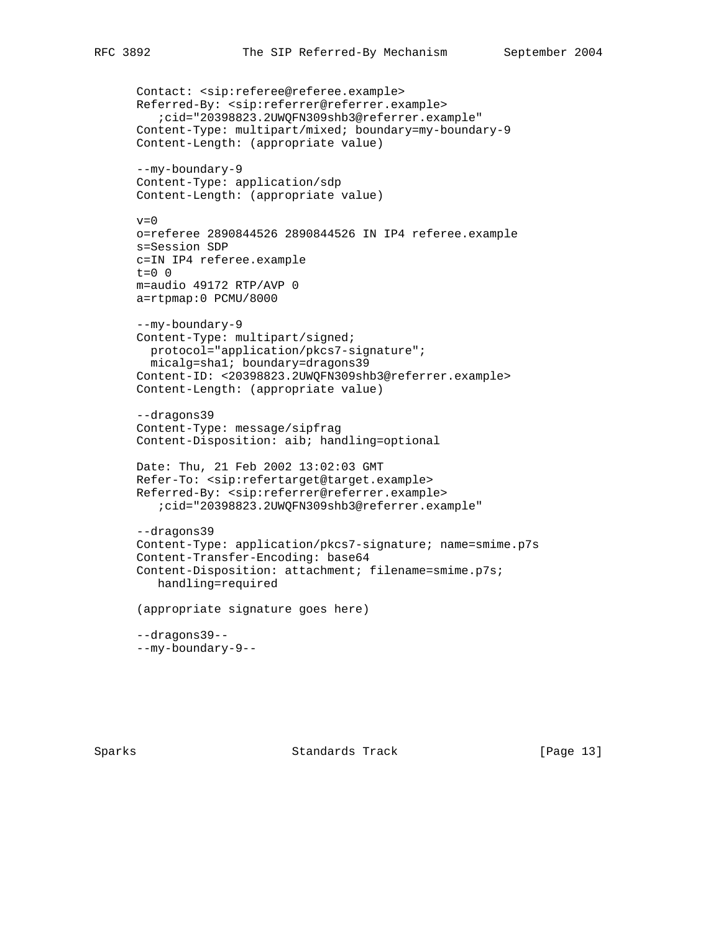```
 Contact: <sip:referee@referee.example>
 Referred-By: <sip:referrer@referrer.example>
    ;cid="20398823.2UWQFN309shb3@referrer.example"
 Content-Type: multipart/mixed; boundary=my-boundary-9
 Content-Length: (appropriate value)
 --my-boundary-9
 Content-Type: application/sdp
 Content-Length: (appropriate value)
v=0 o=referee 2890844526 2890844526 IN IP4 referee.example
 s=Session SDP
 c=IN IP4 referee.example
t=0 0
 m=audio 49172 RTP/AVP 0
 a=rtpmap:0 PCMU/8000
 --my-boundary-9
 Content-Type: multipart/signed;
  protocol="application/pkcs7-signature";
   micalg=sha1; boundary=dragons39
 Content-ID: <20398823.2UWQFN309shb3@referrer.example>
 Content-Length: (appropriate value)
 --dragons39
 Content-Type: message/sipfrag
 Content-Disposition: aib; handling=optional
 Date: Thu, 21 Feb 2002 13:02:03 GMT
 Refer-To: <sip:refertarget@target.example>
 Referred-By: <sip:referrer@referrer.example>
    ;cid="20398823.2UWQFN309shb3@referrer.example"
 --dragons39
 Content-Type: application/pkcs7-signature; name=smime.p7s
 Content-Transfer-Encoding: base64
 Content-Disposition: attachment; filename=smime.p7s;
    handling=required
 (appropriate signature goes here)
 --dragons39--
 --my-boundary-9--
```
Sparks Standards Track [Page 13]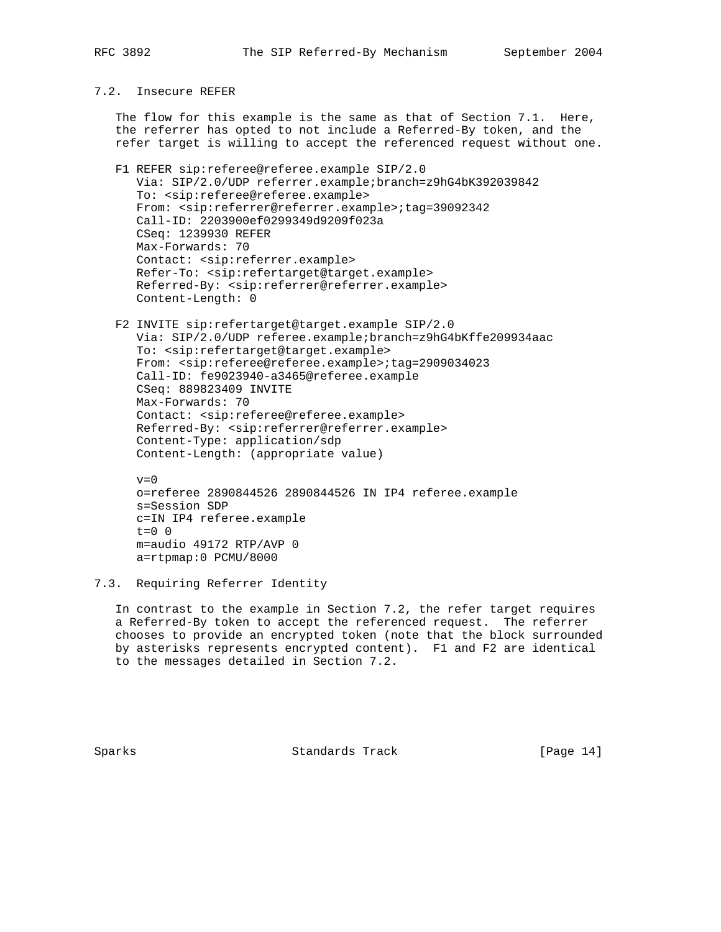### 7.2. Insecure REFER

 The flow for this example is the same as that of Section 7.1. Here, the referrer has opted to not include a Referred-By token, and the refer target is willing to accept the referenced request without one.

- F1 REFER sip:referee@referee.example SIP/2.0 Via: SIP/2.0/UDP referrer.example;branch=z9hG4bK392039842 To: <sip:referee@referee.example> From: <sip:referrer@referrer.example>;tag=39092342 Call-ID: 2203900ef0299349d9209f023a CSeq: 1239930 REFER Max-Forwards: 70 Contact: <sip:referrer.example> Refer-To: <sip:refertarget@target.example> Referred-By: <sip:referrer@referrer.example> Content-Length: 0
- F2 INVITE sip:refertarget@target.example SIP/2.0 Via: SIP/2.0/UDP referee.example;branch=z9hG4bKffe209934aac To: <sip:refertarget@target.example> From: <sip:referee@referee.example>;tag=2909034023 Call-ID: fe9023940-a3465@referee.example CSeq: 889823409 INVITE Max-Forwards: 70 Contact: <sip:referee@referee.example> Referred-By: <sip:referrer@referrer.example> Content-Type: application/sdp Content-Length: (appropriate value)

```
v=0 o=referee 2890844526 2890844526 IN IP4 referee.example
 s=Session SDP
 c=IN IP4 referee.example
t=0 0
 m=audio 49172 RTP/AVP 0
 a=rtpmap:0 PCMU/8000
```
7.3. Requiring Referrer Identity

 In contrast to the example in Section 7.2, the refer target requires a Referred-By token to accept the referenced request. The referrer chooses to provide an encrypted token (note that the block surrounded by asterisks represents encrypted content). F1 and F2 are identical to the messages detailed in Section 7.2.

Sparks Standards Track [Page 14]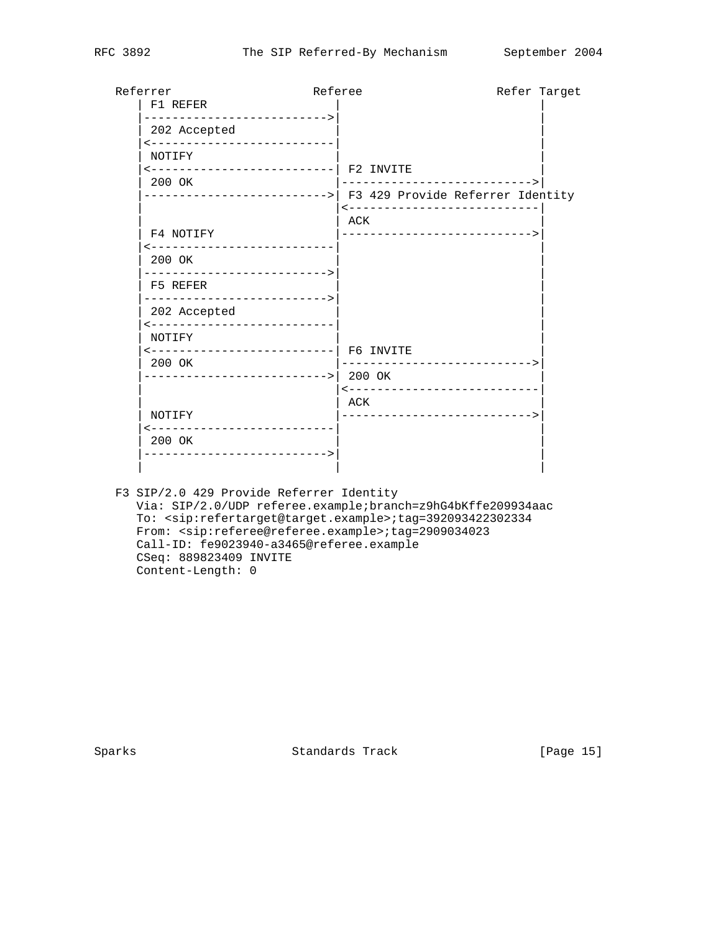| Referrer<br>F1 REFER                          | Referee                                                                                            | Refer Target |
|-----------------------------------------------|----------------------------------------------------------------------------------------------------|--------------|
| 202 Accepted<br><--------------------------   |                                                                                                    |              |
| NOTIFY<br>200 OK                              | <--------------------------  F2 INVITE<br>---------------------------->                            |              |
|                                               | ------------------------->  F3 429 Provide Referrer Identity<br>---------------------------<br>ACK |              |
| F4 NOTIFY<br>------------------------         | ---------------------------->                                                                      |              |
| 200 OK<br>F5 REFER                            |                                                                                                    |              |
| ----------------------------><br>202 Accepted |                                                                                                    |              |
| --------------------------<br>NOTIFY          | <--------------------------  F6 INVITE                                                             |              |
| 200 OK<br>--------------------------->        | 200 OK                                                                                             |              |
| NOTIFY                                        | ----------------------------<br>ACK<br>______________________________                              |              |
| ----------<br>200 OK                          | ------------                                                                                       |              |
|                                               |                                                                                                    |              |

 F3 SIP/2.0 429 Provide Referrer Identity Via: SIP/2.0/UDP referee.example;branch=z9hG4bKffe209934aac To: <sip:refertarget@target.example>;tag=392093422302334 From: <sip:referee@referee.example>;tag=2909034023 Call-ID: fe9023940-a3465@referee.example CSeq: 889823409 INVITE Content-Length: 0

Sparks Standards Track [Page 15]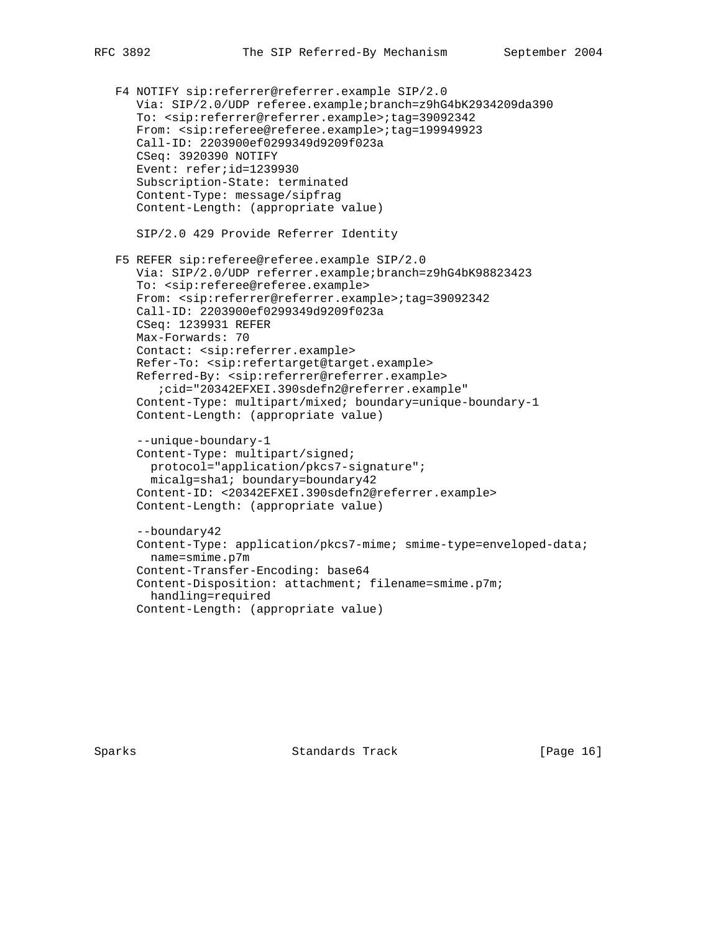F4 NOTIFY sip:referrer@referrer.example SIP/2.0 Via: SIP/2.0/UDP referee.example;branch=z9hG4bK2934209da390 To: <sip:referrer@referrer.example>;tag=39092342 From: <sip:referee@referee.example>;tag=199949923 Call-ID: 2203900ef0299349d9209f023a CSeq: 3920390 NOTIFY Event: refer;id=1239930 Subscription-State: terminated Content-Type: message/sipfrag Content-Length: (appropriate value) SIP/2.0 429 Provide Referrer Identity F5 REFER sip:referee@referee.example SIP/2.0 Via: SIP/2.0/UDP referrer.example;branch=z9hG4bK98823423 To: <sip:referee@referee.example> From: <sip:referrer@referrer.example>;tag=39092342 Call-ID: 2203900ef0299349d9209f023a CSeq: 1239931 REFER Max-Forwards: 70 Contact: <sip:referrer.example> Refer-To: <sip:refertarget@target.example> Referred-By: <sip:referrer@referrer.example> ;cid="20342EFXEI.390sdefn2@referrer.example" Content-Type: multipart/mixed; boundary=unique-boundary-1 Content-Length: (appropriate value) --unique-boundary-1 Content-Type: multipart/signed; protocol="application/pkcs7-signature"; micalg=sha1; boundary=boundary42 Content-ID: <20342EFXEI.390sdefn2@referrer.example> Content-Length: (appropriate value) --boundary42 Content-Type: application/pkcs7-mime; smime-type=enveloped-data; name=smime.p7m Content-Transfer-Encoding: base64 Content-Disposition: attachment; filename=smime.p7m; handling=required Content-Length: (appropriate value)

Sparks Standards Track [Page 16]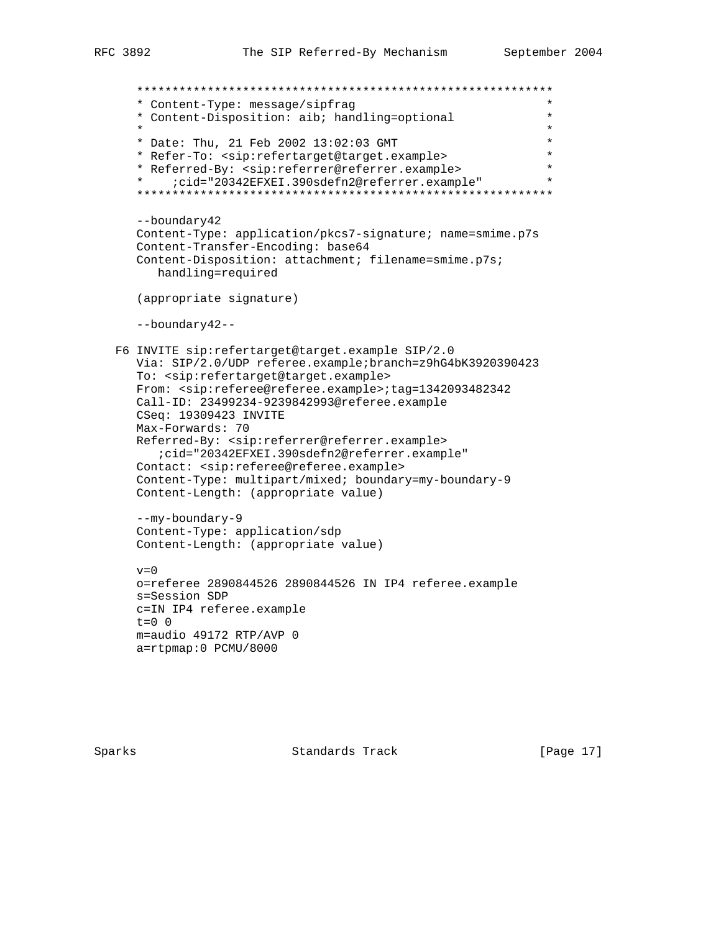\*\*\*\*\*\*\*\*\*\*\*\*\*\*\*\*\*\*\*\*\*\*\*\*\*\*\*\*\*\*\*\*\*\*\*\*\*\*\*\*\*\*\*\*\*\*\*\*\*\*\*\*\*\*\*\*\*\*\* \* Content-Type: message/sipfrag \* \* Content-Disposition: aib; handling=optional \*  $\star$  \* \* Date: Thu, 21 Feb 2002 13:02:03 GMT \* \* Refer-To: <sip:refertarget@target.example> \* \* Referred-By: <sip:referrer@referrer.example> \*<br>\* :cid="20342FFXFI\_390sdefn2@referrer\_example" \* \* ;cid="20342EFXEI.390sdefn2@referrer.example" \* \*\*\*\*\*\*\*\*\*\*\*\*\*\*\*\*\*\*\*\*\*\*\*\*\*\*\*\*\*\*\*\*\*\*\*\*\*\*\*\*\*\*\*\*\*\*\*\*\*\*\*\*\*\*\*\*\*\*\* --boundary42 Content-Type: application/pkcs7-signature; name=smime.p7s Content-Transfer-Encoding: base64 Content-Disposition: attachment; filename=smime.p7s; handling=required (appropriate signature) --boundary42-- F6 INVITE sip:refertarget@target.example SIP/2.0 Via: SIP/2.0/UDP referee.example;branch=z9hG4bK3920390423 To: <sip:refertarget@target.example> From: <sip:referee@referee.example>;tag=1342093482342 Call-ID: 23499234-9239842993@referee.example CSeq: 19309423 INVITE Max-Forwards: 70 Referred-By: <sip:referrer@referrer.example> ;cid="20342EFXEI.390sdefn2@referrer.example" Contact: <sip:referee@referee.example> Content-Type: multipart/mixed; boundary=my-boundary-9 Content-Length: (appropriate value) --my-boundary-9 Content-Type: application/sdp Content-Length: (appropriate value)  $v=0$  o=referee 2890844526 2890844526 IN IP4 referee.example s=Session SDP c=IN IP4 referee.example  $t=0$  0 m=audio 49172 RTP/AVP 0 a=rtpmap:0 PCMU/8000

Sparks Standards Track [Page 17]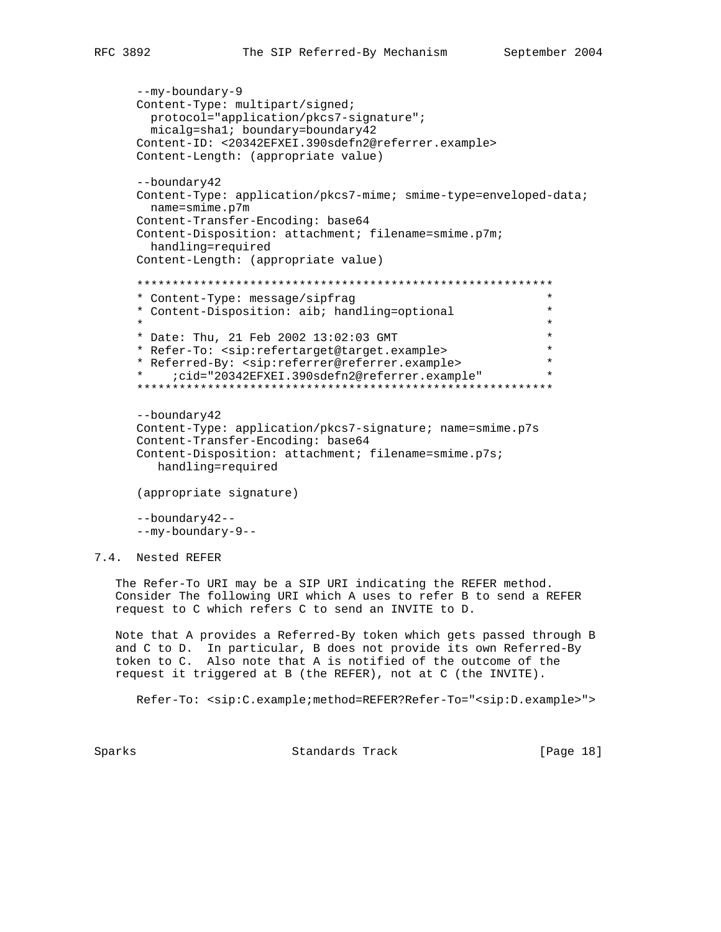```
 --my-boundary-9
      Content-Type: multipart/signed;
        protocol="application/pkcs7-signature";
        micalg=sha1; boundary=boundary42
      Content-ID: <20342EFXEI.390sdefn2@referrer.example>
      Content-Length: (appropriate value)
       --boundary42
      Content-Type: application/pkcs7-mime; smime-type=enveloped-data;
        name=smime.p7m
      Content-Transfer-Encoding: base64
      Content-Disposition: attachment; filename=smime.p7m;
        handling=required
      Content-Length: (appropriate value)
       ***********************************************************
       * Content-Type: message/sipfrag *
       * Content-Disposition: aib; handling=optional *
\star *
      * Date: Thu, 21 Feb 2002 13:02:03 GMT *
      * Refer-To: <sip:refertarget@target.example> *
       * Referred-By: <sip:referrer@referrer.example> *
       * ;cid="20342EFXEI.390sdefn2@referrer.example" *
       ***********************************************************
       --boundary42
      Content-Type: application/pkcs7-signature; name=smime.p7s
      Content-Transfer-Encoding: base64
      Content-Disposition: attachment; filename=smime.p7s;
         handling=required
      (appropriate signature)
      --boundary42--
      --my-boundary-9--
7.4. Nested REFER
```
 The Refer-To URI may be a SIP URI indicating the REFER method. Consider The following URI which A uses to refer B to send a REFER request to C which refers C to send an INVITE to D.

 Note that A provides a Referred-By token which gets passed through B and C to D. In particular, B does not provide its own Referred-By token to C. Also note that A is notified of the outcome of the request it triggered at B (the REFER), not at C (the INVITE).

Refer-To: <sip:C.example;method=REFER?Refer-To="<sip:D.example>">

Sparks Standards Track [Page 18]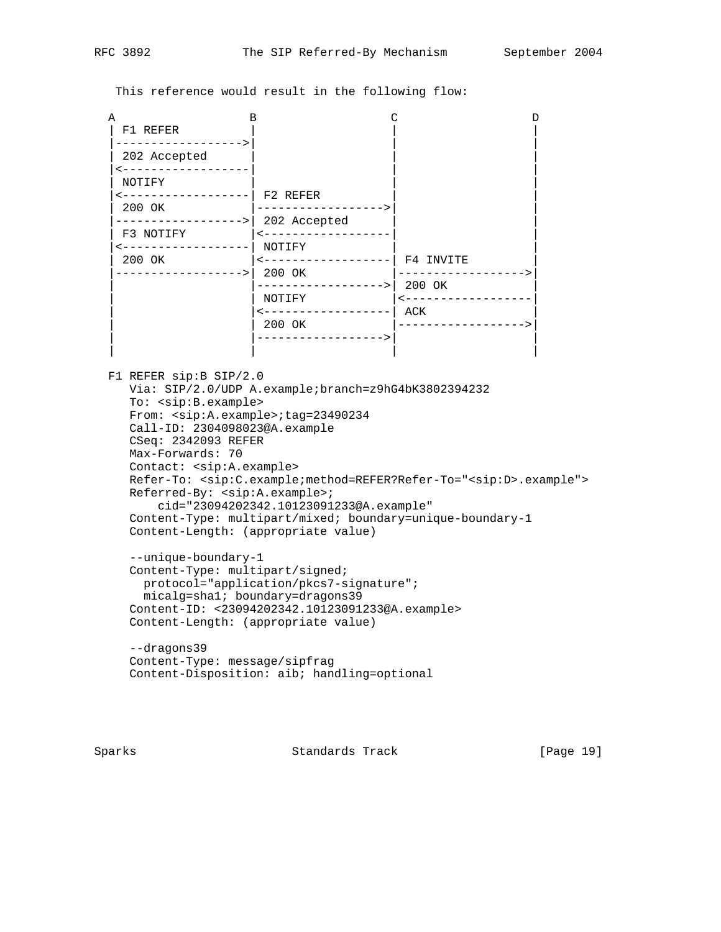This reference would result in the following flow:

| Α            | в                             |           |
|--------------|-------------------------------|-----------|
| F1 REFER     |                               |           |
| 202 Accepted |                               |           |
| NOTIFY       |                               |           |
| 200 OK       | F2 REFER<br>$- - - - - - - -$ |           |
|              | 202 Accepted                  |           |
| F3 NOTIFY    | NOTIFY                        |           |
| 200 OK       | 200 OK                        | F4 INVITE |
|              | $----->$                      | 200 OK    |
|              | NOTIFY                        | ACK       |
|              | 200 OK                        |           |
|              |                               |           |

 F1 REFER sip:B SIP/2.0 Via: SIP/2.0/UDP A.example;branch=z9hG4bK3802394232 To: <sip:B.example> From: <sip:A.example>;tag=23490234 Call-ID: 2304098023@A.example CSeq: 2342093 REFER Max-Forwards: 70 Contact: <sip:A.example> Refer-To: <sip:C.example;method=REFER?Refer-To="<sip:D>.example"> Referred-By: <sip:A.example>; cid="23094202342.10123091233@A.example" Content-Type: multipart/mixed; boundary=unique-boundary-1 Content-Length: (appropriate value) --unique-boundary-1

 Content-Type: multipart/signed; protocol="application/pkcs7-signature"; micalg=sha1; boundary=dragons39 Content-ID: <23094202342.10123091233@A.example> Content-Length: (appropriate value)

 --dragons39 Content-Type: message/sipfrag Content-Disposition: aib; handling=optional

Sparks Standards Track [Page 19]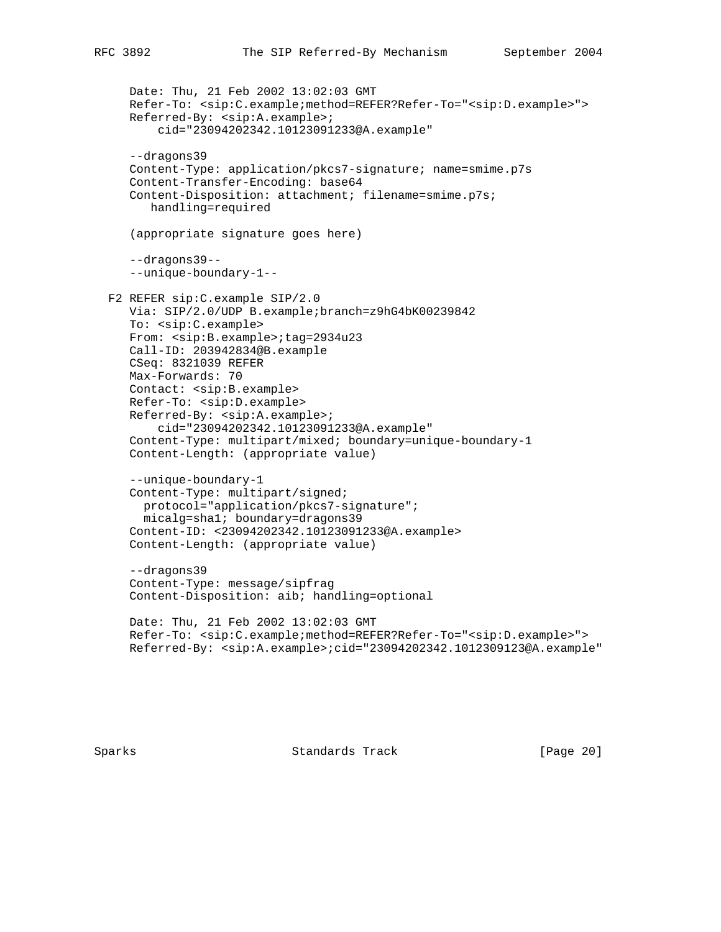```
 Date: Thu, 21 Feb 2002 13:02:03 GMT
    Refer-To: <sip:C.example;method=REFER?Refer-To="<sip:D.example>">
    Referred-By: <sip:A.example>;
        cid="23094202342.10123091233@A.example"
    --dragons39
    Content-Type: application/pkcs7-signature; name=smime.p7s
    Content-Transfer-Encoding: base64
    Content-Disposition: attachment; filename=smime.p7s;
       handling=required
    (appropriate signature goes here)
    --dragons39--
    --unique-boundary-1--
 F2 REFER sip:C.example SIP/2.0
    Via: SIP/2.0/UDP B.example;branch=z9hG4bK00239842
    To: <sip:C.example>
    From: <sip:B.example>;tag=2934u23
    Call-ID: 203942834@B.example
    CSeq: 8321039 REFER
   Max-Forwards: 70
   Contact: <sip:B.example>
    Refer-To: <sip:D.example>
    Referred-By: <sip:A.example>;
        cid="23094202342.10123091233@A.example"
    Content-Type: multipart/mixed; boundary=unique-boundary-1
    Content-Length: (appropriate value)
    --unique-boundary-1
    Content-Type: multipart/signed;
     protocol="application/pkcs7-signature";
     micalg=sha1; boundary=dragons39
    Content-ID: <23094202342.10123091233@A.example>
    Content-Length: (appropriate value)
    --dragons39
    Content-Type: message/sipfrag
    Content-Disposition: aib; handling=optional
    Date: Thu, 21 Feb 2002 13:02:03 GMT
    Refer-To: <sip:C.example;method=REFER?Refer-To="<sip:D.example>">
    Referred-By: <sip:A.example>;cid="23094202342.1012309123@A.example"
```
Sparks Standards Track [Page 20]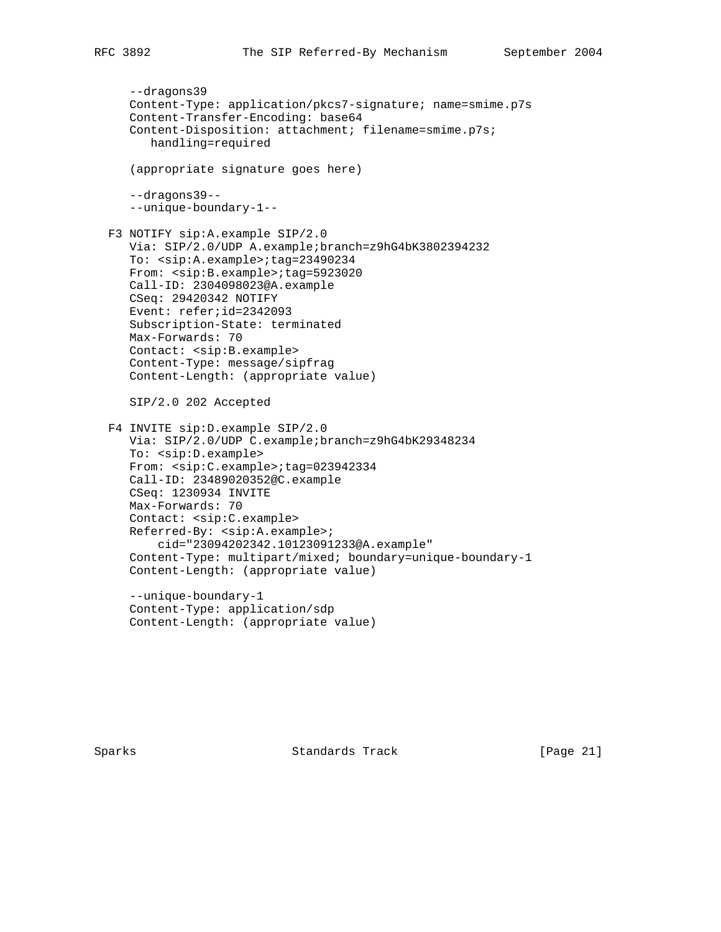```
 --dragons39
 Content-Type: application/pkcs7-signature; name=smime.p7s
 Content-Transfer-Encoding: base64
 Content-Disposition: attachment; filename=smime.p7s;
```
(appropriate signature goes here)

```
 --dragons39--
 --unique-boundary-1--
```
handling=required

 F3 NOTIFY sip:A.example SIP/2.0 Via: SIP/2.0/UDP A.example;branch=z9hG4bK3802394232 To: <sip:A.example>;tag=23490234 From: <sip:B.example>;tag=5923020 Call-ID: 2304098023@A.example CSeq: 29420342 NOTIFY Event: refer;id=2342093 Subscription-State: terminated Max-Forwards: 70 Contact: <sip:B.example> Content-Type: message/sipfrag Content-Length: (appropriate value)

SIP/2.0 202 Accepted

```
 F4 INVITE sip:D.example SIP/2.0
    Via: SIP/2.0/UDP C.example;branch=z9hG4bK29348234
    To: <sip:D.example>
   From: <sip:C.example>;tag=023942334
    Call-ID: 23489020352@C.example
    CSeq: 1230934 INVITE
   Max-Forwards: 70
    Contact: <sip:C.example>
   Referred-By: <sip:A.example>;
        cid="23094202342.10123091233@A.example"
    Content-Type: multipart/mixed; boundary=unique-boundary-1
    Content-Length: (appropriate value)
```
 --unique-boundary-1 Content-Type: application/sdp Content-Length: (appropriate value)

Sparks Standards Track [Page 21]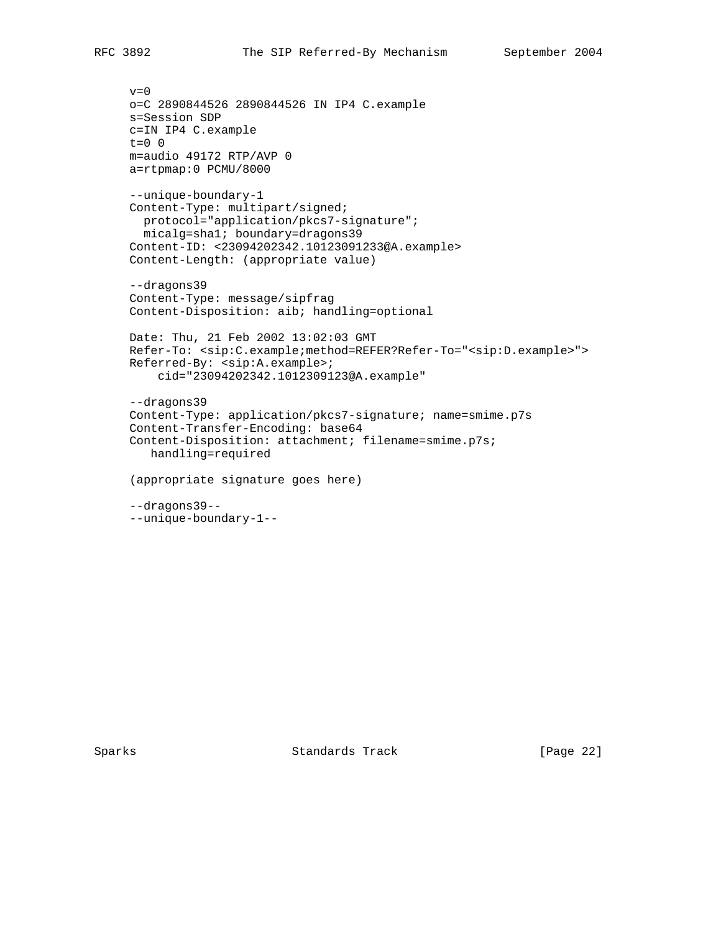```
v=0 o=C 2890844526 2890844526 IN IP4 C.example
 s=Session SDP
 c=IN IP4 C.example
 t=0 0
 m=audio 49172 RTP/AVP 0
 a=rtpmap:0 PCMU/8000
 --unique-boundary-1
 Content-Type: multipart/signed;
   protocol="application/pkcs7-signature";
   micalg=sha1; boundary=dragons39
 Content-ID: <23094202342.10123091233@A.example>
 Content-Length: (appropriate value)
 --dragons39
 Content-Type: message/sipfrag
 Content-Disposition: aib; handling=optional
 Date: Thu, 21 Feb 2002 13:02:03 GMT
 Refer-To: <sip:C.example;method=REFER?Refer-To="<sip:D.example>">
 Referred-By: <sip:A.example>;
     cid="23094202342.1012309123@A.example"
 --dragons39
 Content-Type: application/pkcs7-signature; name=smime.p7s
 Content-Transfer-Encoding: base64
 Content-Disposition: attachment; filename=smime.p7s;
    handling=required
 (appropriate signature goes here)
 --dragons39--
 --unique-boundary-1--
```
Sparks Standards Track [Page 22]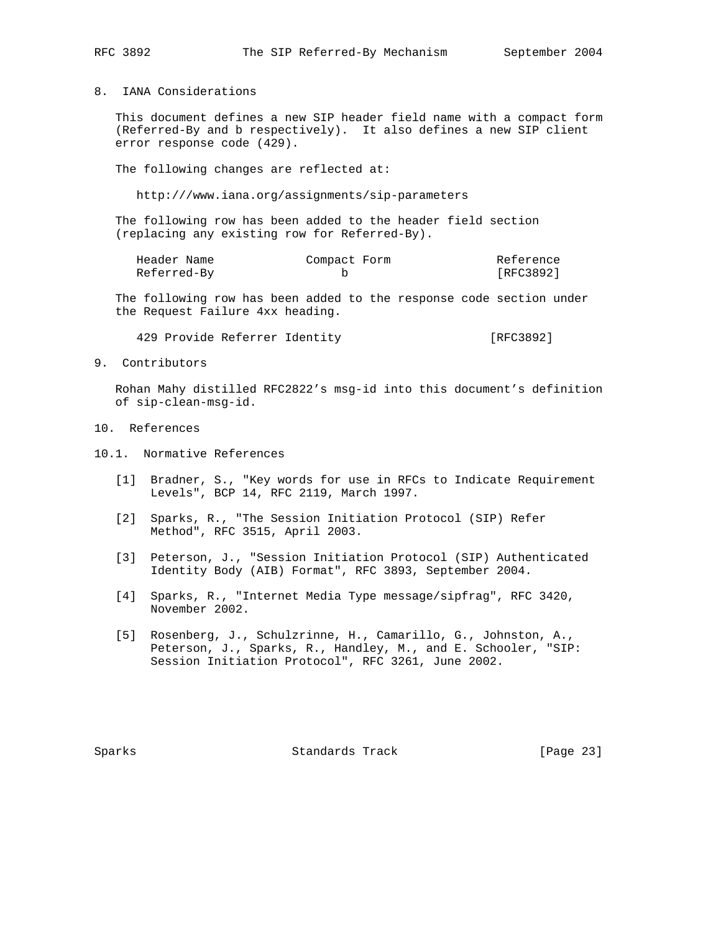8. IANA Considerations

 This document defines a new SIP header field name with a compact form (Referred-By and b respectively). It also defines a new SIP client error response code (429).

The following changes are reflected at:

http:///www.iana.org/assignments/sip-parameters

 The following row has been added to the header field section (replacing any existing row for Referred-By).

| Header Name | Compact Form | Reference |
|-------------|--------------|-----------|
| Referred-By |              | [RFC3892] |

 The following row has been added to the response code section under the Request Failure 4xx heading.

429 Provide Referrer Identity [RFC3892]

9. Contributors

 Rohan Mahy distilled RFC2822's msg-id into this document's definition of sip-clean-msg-id.

- 10. References
- 10.1. Normative References
	- [1] Bradner, S., "Key words for use in RFCs to Indicate Requirement Levels", BCP 14, RFC 2119, March 1997.
	- [2] Sparks, R., "The Session Initiation Protocol (SIP) Refer Method", RFC 3515, April 2003.
	- [3] Peterson, J., "Session Initiation Protocol (SIP) Authenticated Identity Body (AIB) Format", RFC 3893, September 2004.
	- [4] Sparks, R., "Internet Media Type message/sipfrag", RFC 3420, November 2002.
	- [5] Rosenberg, J., Schulzrinne, H., Camarillo, G., Johnston, A., Peterson, J., Sparks, R., Handley, M., and E. Schooler, "SIP: Session Initiation Protocol", RFC 3261, June 2002.

Sparks Standards Track [Page 23]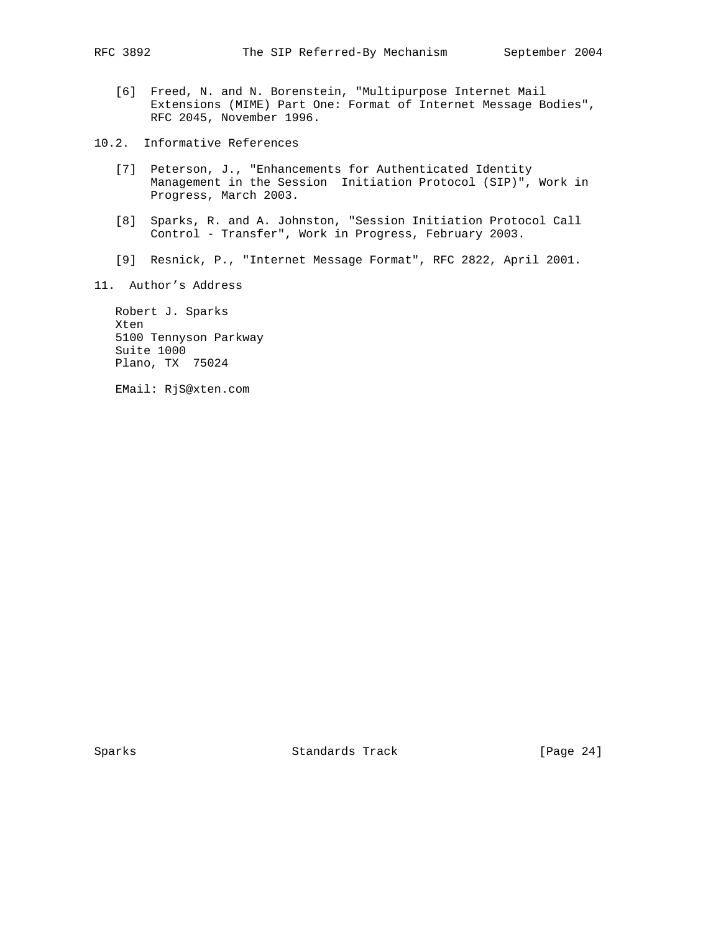- [6] Freed, N. and N. Borenstein, "Multipurpose Internet Mail Extensions (MIME) Part One: Format of Internet Message Bodies", RFC 2045, November 1996.
- 10.2. Informative References
	- [7] Peterson, J., "Enhancements for Authenticated Identity Management in the Session Initiation Protocol (SIP)", Work in Progress, March 2003.
	- [8] Sparks, R. and A. Johnston, "Session Initiation Protocol Call Control - Transfer", Work in Progress, February 2003.
	- [9] Resnick, P., "Internet Message Format", RFC 2822, April 2001.
- 11. Author's Address

 Robert J. Sparks Xten 5100 Tennyson Parkway Suite 1000 Plano, TX 75024

EMail: RjS@xten.com

Sparks Standards Track [Page 24]